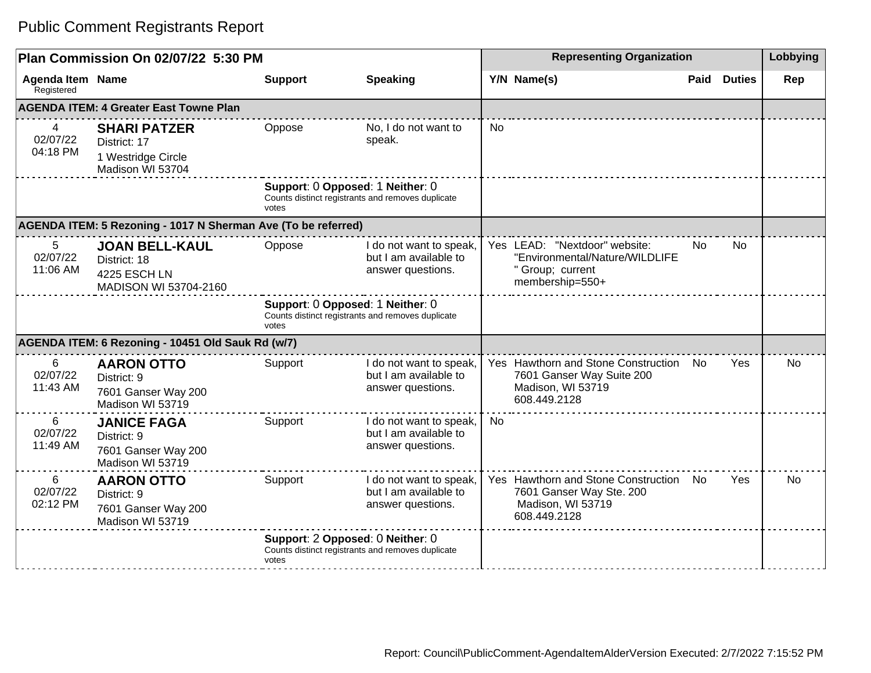| Plan Commission On 02/07/22 5:30 PM                           |                                                                                       |                                                                                                |                                                                                       | <b>Representing Organization</b> |                                                                                                         |      |                | Lobbying  |
|---------------------------------------------------------------|---------------------------------------------------------------------------------------|------------------------------------------------------------------------------------------------|---------------------------------------------------------------------------------------|----------------------------------|---------------------------------------------------------------------------------------------------------|------|----------------|-----------|
| Agenda Item Name<br>Registered                                |                                                                                       | <b>Support</b>                                                                                 | <b>Speaking</b>                                                                       |                                  | Y/N Name(s)                                                                                             | Paid | <b>Duties</b>  | Rep       |
|                                                               | <b>AGENDA ITEM: 4 Greater East Towne Plan</b>                                         |                                                                                                |                                                                                       |                                  |                                                                                                         |      |                |           |
| 4<br>02/07/22<br>04:18 PM                                     | <b>SHARI PATZER</b><br>District: 17<br>1 Westridge Circle<br>Madison WI 53704         | Oppose                                                                                         | No, I do not want to<br>speak.                                                        | No                               |                                                                                                         |      |                |           |
|                                                               |                                                                                       | votes                                                                                          | Support: 0 Opposed: 1 Neither: 0<br>Counts distinct registrants and removes duplicate |                                  |                                                                                                         |      |                |           |
| AGENDA ITEM: 5 Rezoning - 1017 N Sherman Ave (To be referred) |                                                                                       |                                                                                                |                                                                                       |                                  |                                                                                                         |      |                |           |
| 5.<br>02/07/22<br>11:06 AM                                    | <b>JOAN BELL-KAUL</b><br>District: 18<br><b>4225 ESCH LN</b><br>MADISON WI 53704-2160 | Oppose                                                                                         | I do not want to speak,<br>but I am available to<br>answer questions.                 |                                  | Yes LEAD: "Nextdoor" website:<br>"Environmental/Nature/WILDLIFE<br>" Group; current<br>membership=550+  | No   | N <sub>0</sub> |           |
|                                                               |                                                                                       | Support: 0 Opposed: 1 Neither: 0<br>Counts distinct registrants and removes duplicate<br>votes |                                                                                       |                                  |                                                                                                         |      |                |           |
|                                                               | AGENDA ITEM: 6 Rezoning - 10451 Old Sauk Rd (w/7)                                     |                                                                                                |                                                                                       |                                  |                                                                                                         |      |                |           |
| 6<br>02/07/22<br>11:43 AM                                     | <b>AARON OTTO</b><br>District: 9<br>7601 Ganser Way 200<br>Madison WI 53719           | Support                                                                                        | I do not want to speak,<br>but I am available to<br>answer questions.                 |                                  | Yes Hawthorn and Stone Construction<br>7601 Ganser Way Suite 200<br>Madison, WI 53719<br>608.449.2128   | No.  | Yes            | No        |
| 6<br>02/07/22<br>11:49 AM                                     | <b>JANICE FAGA</b><br>District: 9<br>7601 Ganser Way 200<br>Madison WI 53719          | Support                                                                                        | I do not want to speak,<br>but I am available to<br>answer questions.                 | No.                              |                                                                                                         |      |                |           |
| 6<br>02/07/22<br>02:12 PM                                     | <b>AARON OTTO</b><br>District: 9<br>7601 Ganser Way 200<br>Madison WI 53719           | Support                                                                                        | I do not want to speak,<br>but I am available to<br>answer questions.                 |                                  | Yes Hawthorn and Stone Construction No<br>7601 Ganser Way Ste. 200<br>Madison, WI 53719<br>608.449.2128 |      | Yes            | <b>No</b> |
|                                                               |                                                                                       | votes                                                                                          | Support: 2 Opposed: 0 Neither: 0<br>Counts distinct registrants and removes duplicate |                                  |                                                                                                         |      |                |           |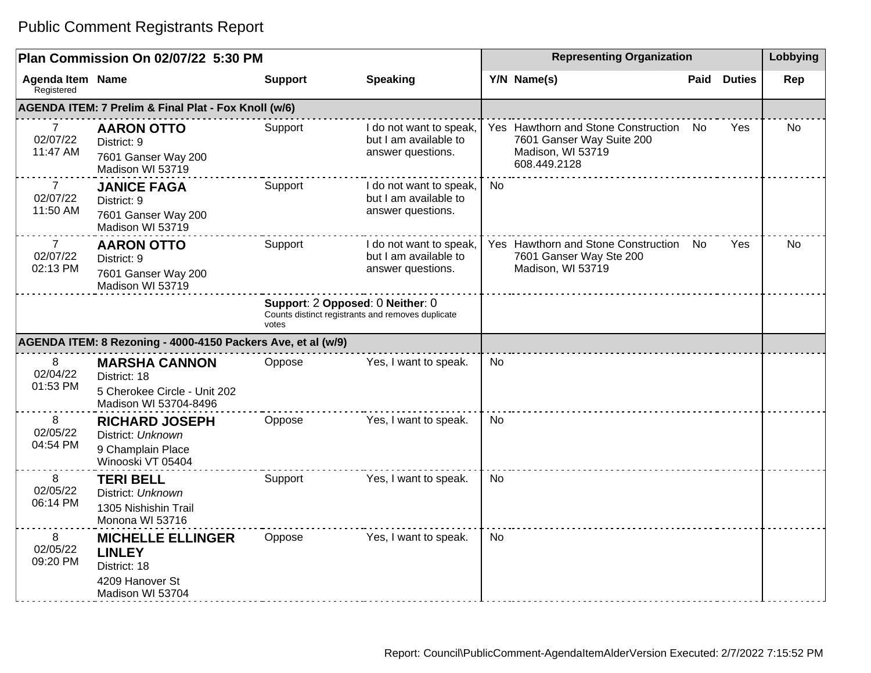### **Plan Commission On 02/07/22 5:30 PM Representing Organization Representing Organization Representing Organization Agenda Item** Registered **Name Support Speaking Y/N Name(s) Paid Duties Rep AGENDA ITEM: 7 Prelim & Final Plat - Fox Knoll (w/6)** 7 02/07/22 11:47 AM **AARON OTTO** District: 9 7601 Ganser Way 200 Madison WI 53719 Support I do not want to speak, but I am available to answer questions. Yes Hawthorn and Stone Construction No 7601 Ganser Way Suite 200 Madison, WI 53719 608.449.2128 Yes No 7 02/07/22 11:50 AM **JANICE FAGA** District: 9 7601 Ganser Way 200 Madison WI 53719 Support I do not want to speak, but I am available to answer questions. No 7 02/07/22 02:13 PM **AARON OTTO** District: 9 7601 Ganser Way 200 Madison WI 53719 Support I do not want to speak, but I am available to answer questions. Yes Hawthorn and Stone Construction 7601 Ganser Way Ste 200 Madison, WI 53719 Yes I No **Support**: 2 **Opposed**: 0 **Neither**: 0 Counts distinct registrants and removes duplicate votes **AGENDA ITEM: 8 Rezoning - 4000-4150 Packers Ave, et al (w/9)** 8 02/04/22 01:53 PM **MARSHA CANNON** District: 18 5 Cherokee Circle - Unit 202 Madison WI 53704-8496 Oppose Yes, I want to speak. No 8 02/05/22 04:54 PM **RICHARD JOSEPH** District: Unknown 9 Champlain Place Winooski VT 05404 Oppose Yes, I want to speak. No 8 02/05/22 06:14 PM **TERI BELL** District: Unknown 1305 Nishishin Trail Monona WI 53716 Support Yes, I want to speak. No 8 02/05/22 09:20 PM **MICHELLE ELLINGER LINLEY**  District: 18 4209 Hanover St Madison WI 53704 Oppose Yes, I want to speak. No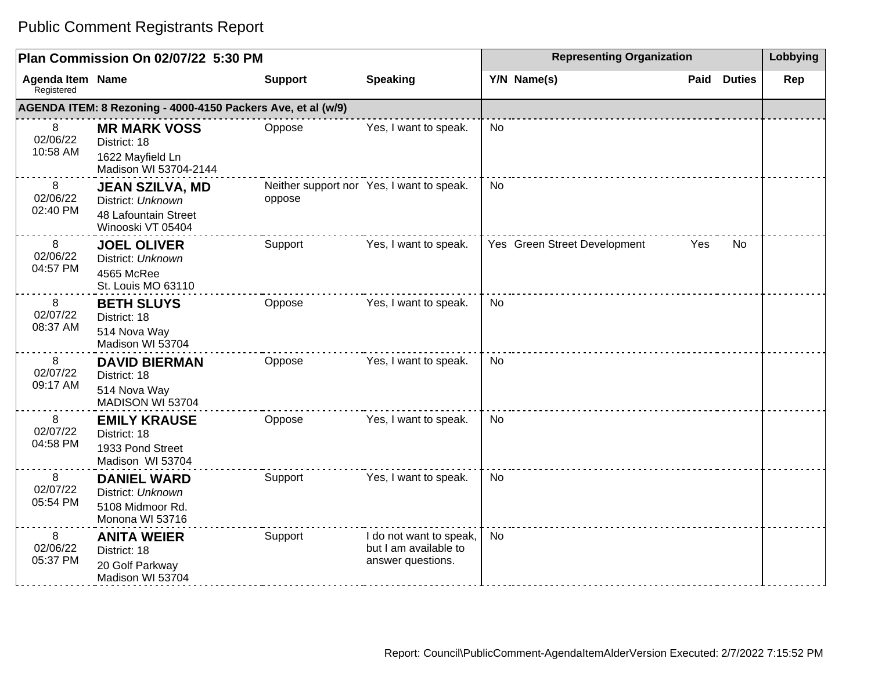| Plan Commission On 02/07/22 5:30 PM   |                                                                                          |                |                                                                       | <b>Representing Organization</b> |                              |      |               | Lobbying |
|---------------------------------------|------------------------------------------------------------------------------------------|----------------|-----------------------------------------------------------------------|----------------------------------|------------------------------|------|---------------|----------|
| <b>Agenda Item Name</b><br>Registered |                                                                                          | <b>Support</b> | <b>Speaking</b>                                                       |                                  | Y/N Name(s)                  | Paid | <b>Duties</b> | Rep      |
|                                       | AGENDA ITEM: 8 Rezoning - 4000-4150 Packers Ave, et al (w/9)                             |                |                                                                       |                                  |                              |      |               |          |
| 8<br>02/06/22<br>10:58 AM             | <b>MR MARK VOSS</b><br>District: 18<br>1622 Mayfield Ln<br>Madison WI 53704-2144         | Oppose         | Yes, I want to speak.                                                 | No                               |                              |      |               |          |
| 8<br>02/06/22<br>02:40 PM             | <b>JEAN SZILVA, MD</b><br>District: Unknown<br>48 Lafountain Street<br>Winooski VT 05404 | oppose         | Neither support nor Yes, I want to speak.                             | <b>No</b>                        |                              |      |               |          |
| 8<br>02/06/22<br>04:57 PM             | <b>JOEL OLIVER</b><br>District: Unknown<br>4565 McRee<br>St. Louis MO 63110              | Support        | Yes, I want to speak.                                                 |                                  | Yes Green Street Development | Yes  | No.           |          |
| 8<br>02/07/22<br>08:37 AM             | <b>BETH SLUYS</b><br>District: 18<br>514 Nova Way<br>Madison WI 53704                    | Oppose         | Yes, I want to speak.                                                 | <b>No</b>                        |                              |      |               |          |
| 8<br>02/07/22<br>09:17 AM             | <b>DAVID BIERMAN</b><br>District: 18<br>514 Nova Way<br>MADISON WI 53704                 | Oppose         | Yes, I want to speak.                                                 | <b>No</b>                        |                              |      |               |          |
| 8<br>02/07/22<br>04:58 PM             | <b>EMILY KRAUSE</b><br>District: 18<br>1933 Pond Street<br>Madison WI 53704              | Oppose         | Yes, I want to speak.                                                 | <b>No</b>                        |                              |      |               |          |
| 8<br>02/07/22<br>05:54 PM             | <b>DANIEL WARD</b><br>District: Unknown<br>5108 Midmoor Rd.<br>Monona WI 53716           | Support        | Yes, I want to speak.                                                 | <b>No</b>                        |                              |      |               |          |
| 8<br>02/06/22<br>05:37 PM             | <b>ANITA WEIER</b><br>District: 18<br>20 Golf Parkway<br>Madison WI 53704                | Support        | I do not want to speak,<br>but I am available to<br>answer questions. | <b>No</b>                        |                              |      |               |          |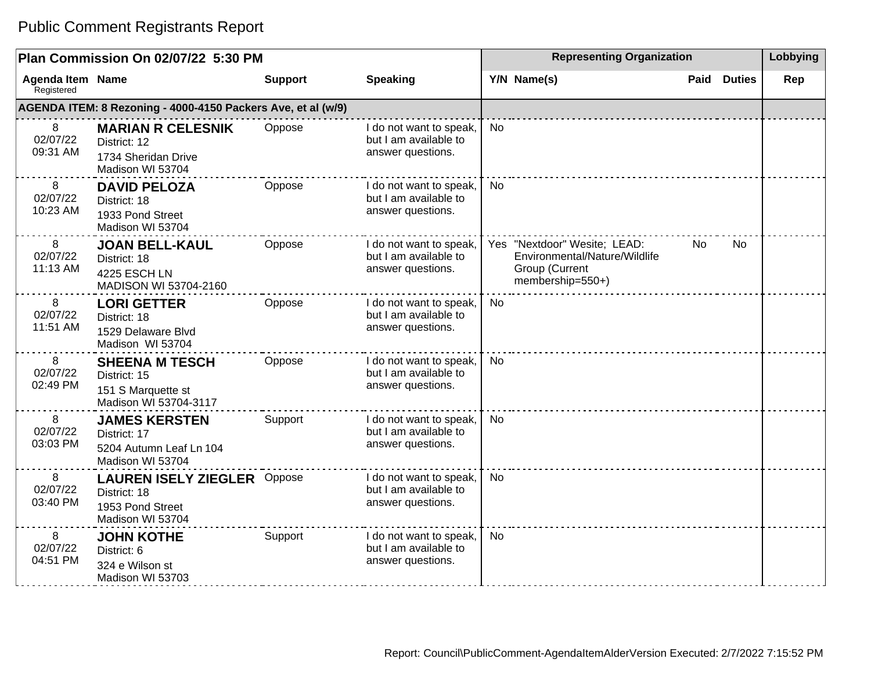| Plan Commission On 02/07/22 5:30 PM |                                                                                            |                |                                                                       | <b>Representing Organization</b> |                                                                                                     |      |               | Lobbying |
|-------------------------------------|--------------------------------------------------------------------------------------------|----------------|-----------------------------------------------------------------------|----------------------------------|-----------------------------------------------------------------------------------------------------|------|---------------|----------|
| Agenda Item Name<br>Registered      |                                                                                            | <b>Support</b> | <b>Speaking</b>                                                       |                                  | Y/N Name(s)                                                                                         | Paid | <b>Duties</b> | Rep      |
|                                     | AGENDA ITEM: 8 Rezoning - 4000-4150 Packers Ave, et al (w/9)                               |                |                                                                       |                                  |                                                                                                     |      |               |          |
| 8<br>02/07/22<br>09:31 AM           | <b>MARIAN R CELESNIK</b><br>District: 12<br>1734 Sheridan Drive<br>Madison WI 53704        | Oppose         | I do not want to speak,<br>but I am available to<br>answer questions. | No                               |                                                                                                     |      |               |          |
| 8<br>02/07/22<br>10:23 AM           | <b>DAVID PELOZA</b><br>District: 18<br>1933 Pond Street<br>Madison WI 53704                | Oppose         | I do not want to speak,<br>but I am available to<br>answer questions. | <b>No</b>                        |                                                                                                     |      |               |          |
| 8<br>02/07/22<br>11:13 AM           | <b>JOAN BELL-KAUL</b><br>District: 18<br><b>4225 ESCH LN</b><br>MADISON WI 53704-2160      | Oppose         | I do not want to speak,<br>but I am available to<br>answer questions. |                                  | Yes "Nextdoor" Wesite; LEAD:<br>Environmental/Nature/Wildlife<br>Group (Current<br>membership=550+) | No.  | <b>No</b>     |          |
| 8<br>02/07/22<br>11:51 AM           | <b>LORI GETTER</b><br>District: 18<br>1529 Delaware Blvd<br>Madison WI 53704               | Oppose         | I do not want to speak,<br>but I am available to<br>answer questions. | <b>No</b>                        |                                                                                                     |      |               |          |
| 8<br>02/07/22<br>02:49 PM           | <b>SHEENA M TESCH</b><br>District: 15<br>151 S Marquette st<br>Madison WI 53704-3117       | Oppose         | I do not want to speak,<br>but I am available to<br>answer questions. | No                               |                                                                                                     |      |               |          |
| 8<br>02/07/22<br>03:03 PM           | <b>JAMES KERSTEN</b><br>District: 17<br>5204 Autumn Leaf Ln 104<br>Madison WI 53704        | Support        | I do not want to speak,<br>but I am available to<br>answer questions. | No                               |                                                                                                     |      |               |          |
| 8<br>02/07/22<br>03:40 PM           | <b>LAUREN ISELY ZIEGLER Oppose</b><br>District: 18<br>1953 Pond Street<br>Madison WI 53704 |                | I do not want to speak,<br>but I am available to<br>answer questions. | No                               |                                                                                                     |      |               |          |
| 8<br>02/07/22<br>04:51 PM           | <b>JOHN KOTHE</b><br>District: 6<br>324 e Wilson st<br>Madison WI 53703                    | Support        | I do not want to speak,<br>but I am available to<br>answer questions. | No                               |                                                                                                     |      |               |          |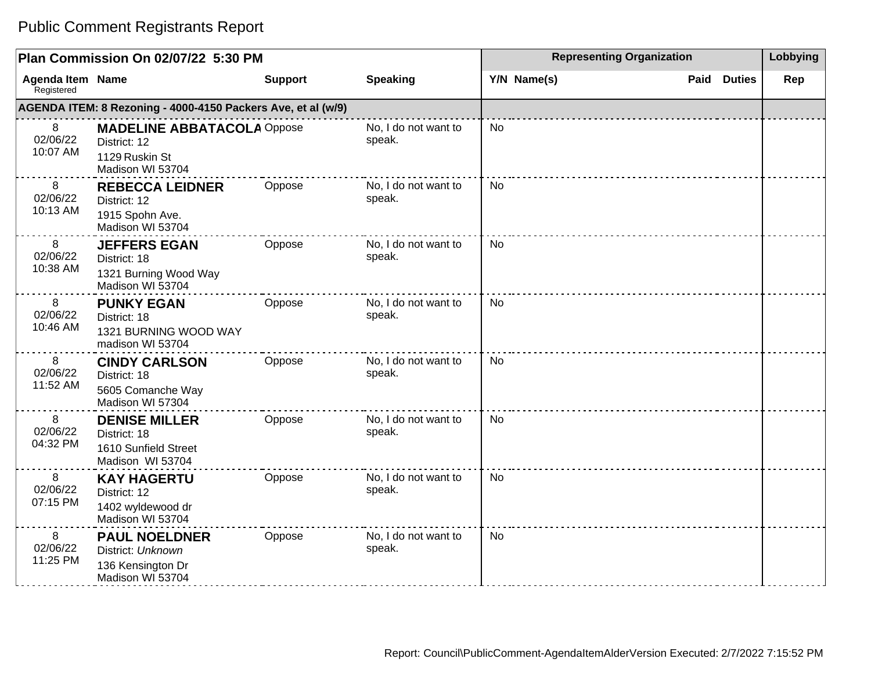|                                       | Plan Commission On 02/07/22 5:30 PM                                                     |                | <b>Representing Organization</b> | Lobbying    |                       |     |
|---------------------------------------|-----------------------------------------------------------------------------------------|----------------|----------------------------------|-------------|-----------------------|-----|
| <b>Agenda Item Name</b><br>Registered |                                                                                         | <b>Support</b> | <b>Speaking</b>                  | Y/N Name(s) | <b>Duties</b><br>Paid | Rep |
|                                       | AGENDA ITEM: 8 Rezoning - 4000-4150 Packers Ave, et al (w/9)                            |                |                                  |             |                       |     |
| 8<br>02/06/22<br>10:07 AM             | <b>MADELINE ABBATACOLA Oppose</b><br>District: 12<br>1129 Ruskin St<br>Madison WI 53704 |                | No, I do not want to<br>speak.   | No.         |                       |     |
| 8<br>02/06/22<br>10:13 AM             | <b>REBECCA LEIDNER</b><br>District: 12<br>1915 Spohn Ave.<br>Madison WI 53704           | Oppose         | No, I do not want to<br>speak.   | <b>No</b>   |                       |     |
| 8<br>02/06/22<br>10:38 AM             | <b>JEFFERS EGAN</b><br>District: 18<br>1321 Burning Wood Way<br>Madison WI 53704        | Oppose         | No, I do not want to<br>speak.   | <b>No</b>   |                       |     |
| 8<br>02/06/22<br>10:46 AM             | <b>PUNKY EGAN</b><br>District: 18<br>1321 BURNING WOOD WAY<br>madison WI 53704          | Oppose         | No, I do not want to<br>speak.   | <b>No</b>   |                       |     |
| 8<br>02/06/22<br>11:52 AM             | <b>CINDY CARLSON</b><br>District: 18<br>5605 Comanche Way<br>Madison WI 57304           | Oppose         | No, I do not want to<br>speak.   | <b>No</b>   |                       |     |
| 8<br>02/06/22<br>04:32 PM             | <b>DENISE MILLER</b><br>District: 18<br>1610 Sunfield Street<br>Madison WI 53704        | Oppose         | No, I do not want to<br>speak.   | <b>No</b>   |                       |     |
| 8<br>02/06/22<br>07:15 PM             | <b>KAY HAGERTU</b><br>District: 12<br>1402 wyldewood dr<br>Madison WI 53704             | Oppose         | No, I do not want to<br>speak.   | <b>No</b>   |                       |     |
| 8<br>02/06/22<br>11:25 PM             | <b>PAUL NOELDNER</b><br>District: Unknown<br>136 Kensington Dr<br>Madison WI 53704      | Oppose         | No, I do not want to<br>speak.   | <b>No</b>   |                       |     |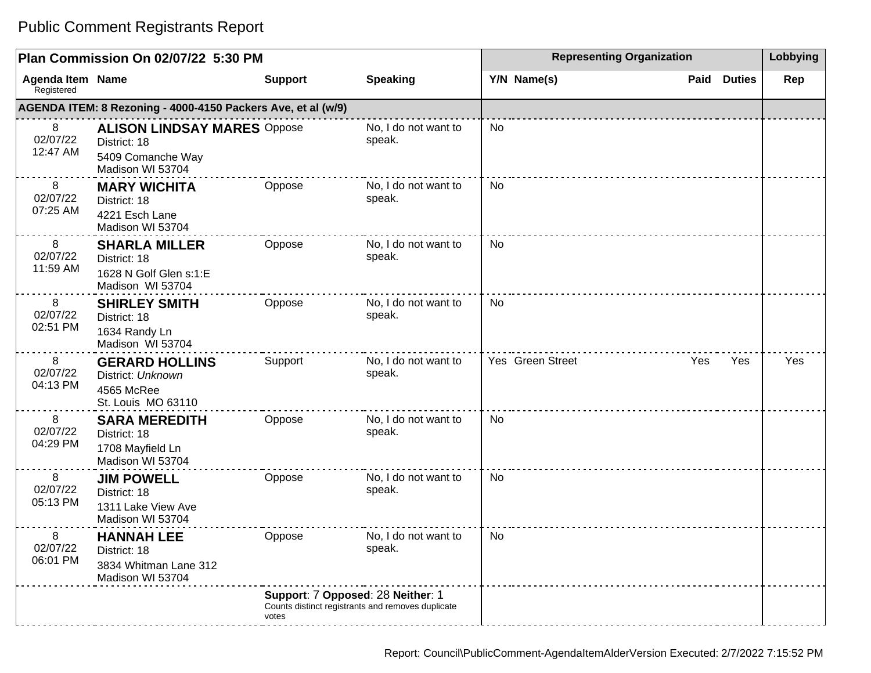| Plan Commission On 02/07/22 5:30 PM   |                                                                                             |                                                                                                 |                                | <b>Representing Organization</b> | Lobbying |               |     |
|---------------------------------------|---------------------------------------------------------------------------------------------|-------------------------------------------------------------------------------------------------|--------------------------------|----------------------------------|----------|---------------|-----|
| <b>Agenda Item Name</b><br>Registered |                                                                                             | <b>Support</b>                                                                                  | <b>Speaking</b>                | Y/N Name(s)                      | Paid     | <b>Duties</b> | Rep |
|                                       | AGENDA ITEM: 8 Rezoning - 4000-4150 Packers Ave, et al (w/9)                                |                                                                                                 |                                |                                  |          |               |     |
| 8<br>02/07/22<br>12:47 AM             | <b>ALISON LINDSAY MARES Oppose</b><br>District: 18<br>5409 Comanche Way<br>Madison WI 53704 |                                                                                                 | No, I do not want to<br>speak. | <b>No</b>                        |          |               |     |
| 8<br>02/07/22<br>07:25 AM             | <b>MARY WICHITA</b><br>District: 18<br>4221 Esch Lane<br>Madison WI 53704                   | Oppose                                                                                          | No, I do not want to<br>speak. | No                               |          |               |     |
| 8<br>02/07/22<br>11:59 AM             | <b>SHARLA MILLER</b><br>District: 18<br>1628 N Golf Glen s:1:E<br>Madison WI 53704          | Oppose                                                                                          | No, I do not want to<br>speak. | No                               |          |               |     |
| 8<br>02/07/22<br>02:51 PM             | <b>SHIRLEY SMITH</b><br>District: 18<br>1634 Randy Ln<br>Madison WI 53704                   | Oppose                                                                                          | No, I do not want to<br>speak. | No                               |          |               |     |
| 8<br>02/07/22<br>04:13 PM             | <b>GERARD HOLLINS</b><br>District: Unknown<br>4565 McRee<br>St. Louis MO 63110              | Support                                                                                         | No, I do not want to<br>speak. | Yes Green Street                 | Yes      | Yes           | Yes |
| 8<br>02/07/22<br>04:29 PM             | <b>SARA MEREDITH</b><br>District: 18<br>1708 Mayfield Ln<br>Madison WI 53704                | Oppose                                                                                          | No, I do not want to<br>speak. | No                               |          |               |     |
| 8<br>02/07/22<br>05:13 PM             | <b>JIM POWELL</b><br>District: 18<br>1311 Lake View Ave<br>Madison WI 53704                 | Oppose                                                                                          | No, I do not want to<br>speak. | No                               |          |               |     |
| 8<br>02/07/22<br>06:01 PM             | <b>HANNAH LEE</b><br>District: 18<br>3834 Whitman Lane 312<br>Madison WI 53704              | Oppose                                                                                          | No, I do not want to<br>speak. | No                               |          |               |     |
|                                       |                                                                                             | Support: 7 Opposed: 28 Neither: 1<br>Counts distinct registrants and removes duplicate<br>votes |                                |                                  |          |               |     |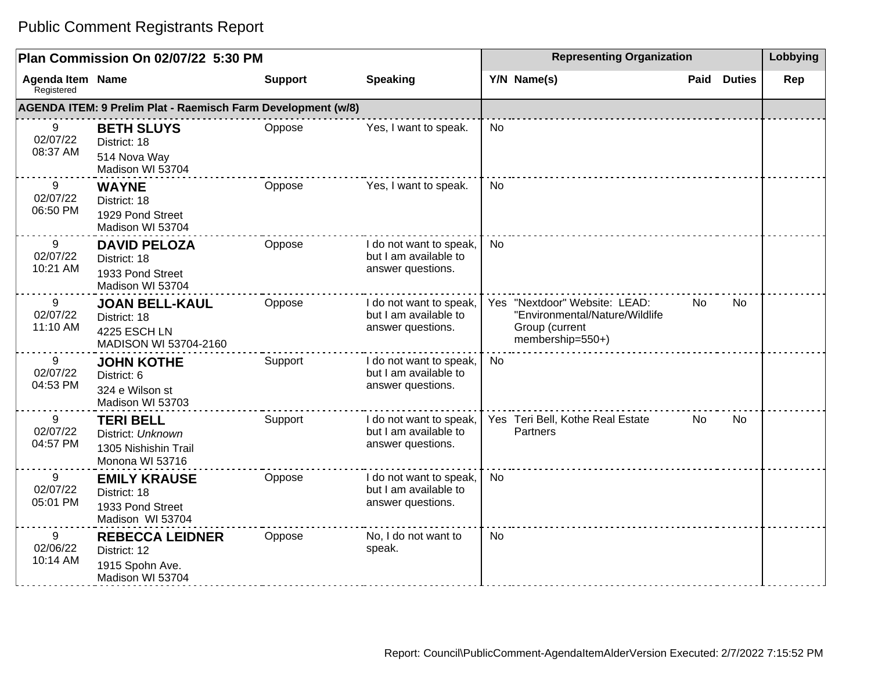| Plan Commission On 02/07/22 5:30 PM   |                                                                                  |                |                                                                       | <b>Representing Organization</b> |                                                                                                       |      |               | Lobbying |
|---------------------------------------|----------------------------------------------------------------------------------|----------------|-----------------------------------------------------------------------|----------------------------------|-------------------------------------------------------------------------------------------------------|------|---------------|----------|
| <b>Agenda Item Name</b><br>Registered |                                                                                  | <b>Support</b> | <b>Speaking</b>                                                       |                                  | Y/N Name(s)                                                                                           | Paid | <b>Duties</b> | Rep      |
|                                       | AGENDA ITEM: 9 Prelim Plat - Raemisch Farm Development (w/8)                     |                |                                                                       |                                  |                                                                                                       |      |               |          |
| 9<br>02/07/22<br>08:37 AM             | <b>BETH SLUYS</b><br>District: 18<br>514 Nova Way<br>Madison WI 53704            | Oppose         | Yes, I want to speak.                                                 | <b>No</b>                        |                                                                                                       |      |               |          |
| 9<br>02/07/22<br>06:50 PM             | <b>WAYNE</b><br>District: 18<br>1929 Pond Street<br>Madison WI 53704             | Oppose         | Yes, I want to speak.                                                 | N <sub>0</sub>                   |                                                                                                       |      |               |          |
| 9<br>02/07/22<br>10:21 AM             | <b>DAVID PELOZA</b><br>District: 18<br>1933 Pond Street<br>Madison WI 53704      | Oppose         | I do not want to speak,<br>but I am available to<br>answer questions. | <b>No</b>                        |                                                                                                       |      |               |          |
| 9<br>02/07/22<br>11:10 AM             | <b>JOAN BELL-KAUL</b><br>District: 18<br>4225 ESCH LN<br>MADISON WI 53704-2160   | Oppose         | I do not want to speak,<br>but I am available to<br>answer questions. |                                  | Yes "Nextdoor" Website: LEAD:<br>"Environmental/Nature/Wildlife<br>Group (current<br>membership=550+) | No.  | No.           |          |
| 9<br>02/07/22<br>04:53 PM             | <b>JOHN KOTHE</b><br>District: 6<br>324 e Wilson st<br>Madison WI 53703          | Support        | I do not want to speak,<br>but I am available to<br>answer questions. | <b>No</b>                        |                                                                                                       |      |               |          |
| 9<br>02/07/22<br>04:57 PM             | <b>TERI BELL</b><br>District: Unknown<br>1305 Nishishin Trail<br>Monona WI 53716 | Support        | I do not want to speak,<br>but I am available to<br>answer questions. |                                  | Yes Teri Bell, Kothe Real Estate<br>Partners                                                          | No.  | <b>No</b>     |          |
| 9<br>02/07/22<br>05:01 PM             | <b>EMILY KRAUSE</b><br>District: 18<br>1933 Pond Street<br>Madison WI 53704      | Oppose         | I do not want to speak,<br>but I am available to<br>answer questions. | <b>No</b>                        |                                                                                                       |      |               |          |
| 9<br>02/06/22<br>10:14 AM             | <b>REBECCA LEIDNER</b><br>District: 12<br>1915 Spohn Ave.<br>Madison WI 53704    | Oppose         | No, I do not want to<br>speak.                                        | <b>No</b>                        |                                                                                                       |      |               |          |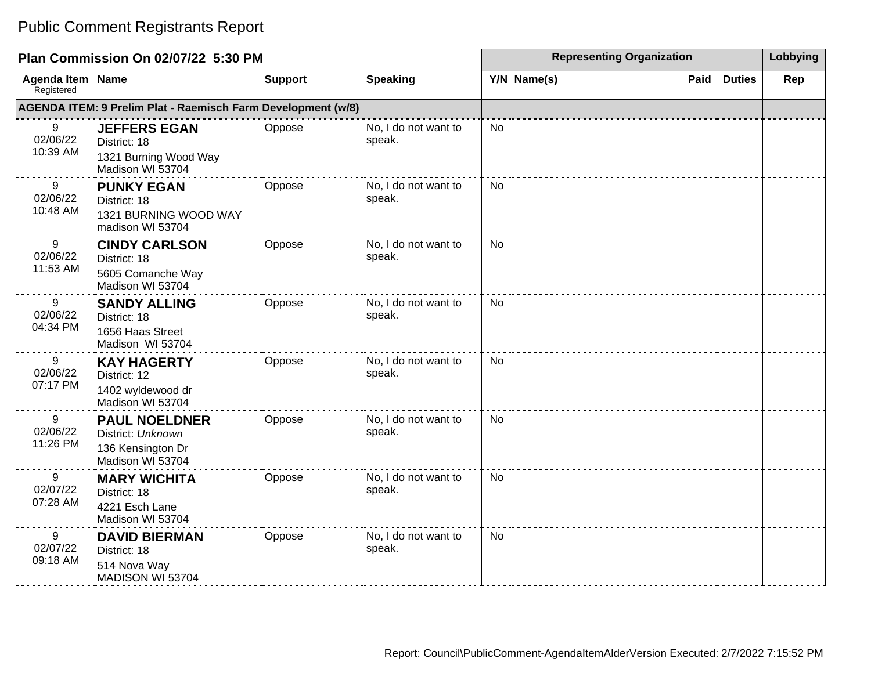|                                       | Plan Commission On 02/07/22 5:30 PM                                                |                | <b>Representing Organization</b> | Lobbying    |                       |     |
|---------------------------------------|------------------------------------------------------------------------------------|----------------|----------------------------------|-------------|-----------------------|-----|
| <b>Agenda Item Name</b><br>Registered |                                                                                    | <b>Support</b> | <b>Speaking</b>                  | Y/N Name(s) | <b>Duties</b><br>Paid | Rep |
|                                       | AGENDA ITEM: 9 Prelim Plat - Raemisch Farm Development (w/8)                       |                |                                  |             |                       |     |
| 9<br>02/06/22<br>10:39 AM             | <b>JEFFERS EGAN</b><br>District: 18<br>1321 Burning Wood Way<br>Madison WI 53704   | Oppose         | No, I do not want to<br>speak.   | No          |                       |     |
| 9<br>02/06/22<br>10:48 AM             | <b>PUNKY EGAN</b><br>District: 18<br>1321 BURNING WOOD WAY<br>madison WI 53704     | Oppose         | No, I do not want to<br>speak.   | No          |                       |     |
| 9<br>02/06/22<br>11:53 AM             | <b>CINDY CARLSON</b><br>District: 18<br>5605 Comanche Way<br>Madison WI 53704      | Oppose         | No, I do not want to<br>speak.   | No          |                       |     |
| 9<br>02/06/22<br>04:34 PM             | <b>SANDY ALLING</b><br>District: 18<br>1656 Haas Street<br>Madison WI 53704        | Oppose         | No, I do not want to<br>speak.   | <b>No</b>   |                       |     |
| 9<br>02/06/22<br>07:17 PM             | <b>KAY HAGERTY</b><br>District: 12<br>1402 wyldewood dr<br>Madison WI 53704        | Oppose         | No, I do not want to<br>speak.   | No          |                       |     |
| 9<br>02/06/22<br>11:26 PM             | <b>PAUL NOELDNER</b><br>District: Unknown<br>136 Kensington Dr<br>Madison WI 53704 | Oppose         | No, I do not want to<br>speak.   | <b>No</b>   |                       |     |
| 9<br>02/07/22<br>07:28 AM             | <b>MARY WICHITA</b><br>District: 18<br>4221 Esch Lane<br>Madison WI 53704          | Oppose         | No, I do not want to<br>speak.   | <b>No</b>   |                       |     |
| 9<br>02/07/22<br>09:18 AM             | <b>DAVID BIERMAN</b><br>District: 18<br>514 Nova Way<br>MADISON WI 53704           | Oppose         | No, I do not want to<br>speak.   | No          |                       |     |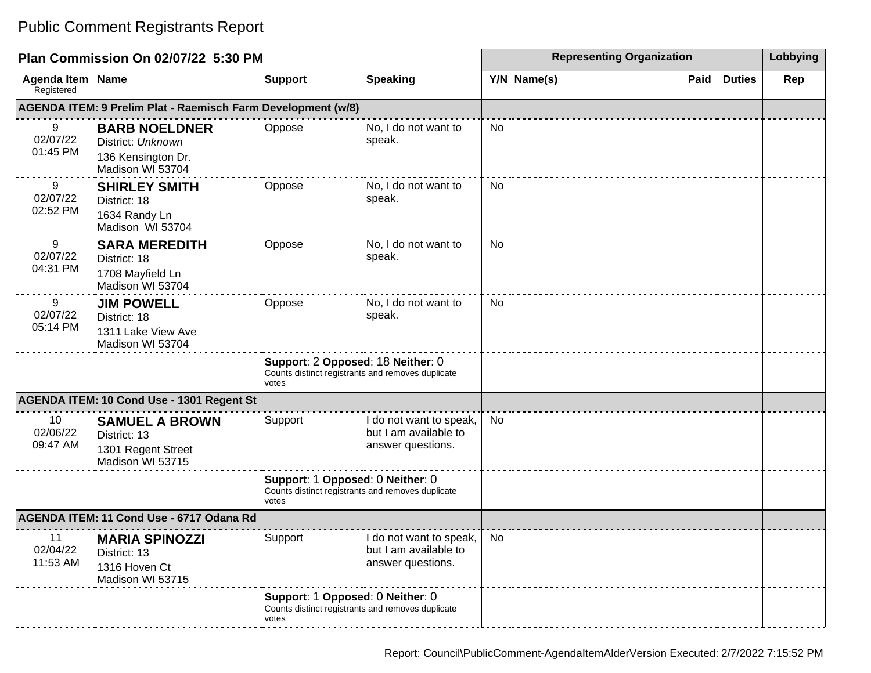|                                       | Plan Commission On 02/07/22 5:30 PM                                                 |                                            | <b>Representing Organization</b>                                      |             | Lobbying |               |     |
|---------------------------------------|-------------------------------------------------------------------------------------|--------------------------------------------|-----------------------------------------------------------------------|-------------|----------|---------------|-----|
| <b>Agenda Item Name</b><br>Registered |                                                                                     | <b>Support</b>                             | <b>Speaking</b>                                                       | Y/N Name(s) | Paid     | <b>Duties</b> | Rep |
|                                       | AGENDA ITEM: 9 Prelim Plat - Raemisch Farm Development (w/8)                        |                                            |                                                                       |             |          |               |     |
| 9<br>02/07/22<br>01:45 PM             | <b>BARB NOELDNER</b><br>District: Unknown<br>136 Kensington Dr.<br>Madison WI 53704 | Oppose                                     | No, I do not want to<br>speak.                                        | No          |          |               |     |
| 9<br>02/07/22<br>02:52 PM             | <b>SHIRLEY SMITH</b><br>District: 18<br>1634 Randy Ln<br>Madison WI 53704           | Oppose                                     | No, I do not want to<br>speak.                                        | No          |          |               |     |
| 9<br>02/07/22<br>04:31 PM             | <b>SARA MEREDITH</b><br>District: 18<br>1708 Mayfield Ln<br>Madison WI 53704        | Oppose                                     | No, I do not want to<br>speak.                                        | No          |          |               |     |
| 9<br>02/07/22<br>05:14 PM             | <b>JIM POWELL</b><br>District: 18<br>1311 Lake View Ave<br>Madison WI 53704         | Oppose                                     | No, I do not want to<br>speak.                                        | No          |          |               |     |
|                                       |                                                                                     | Support: 2 Opposed: 18 Neither: 0<br>votes | Counts distinct registrants and removes duplicate                     |             |          |               |     |
|                                       | <b>AGENDA ITEM: 10 Cond Use - 1301 Regent St</b>                                    |                                            |                                                                       |             |          |               |     |
| 10<br>02/06/22<br>09:47 AM            | <b>SAMUEL A BROWN</b><br>District: 13<br>1301 Regent Street<br>Madison WI 53715     | Support                                    | I do not want to speak,<br>but I am available to<br>answer questions. | No          |          |               |     |
|                                       |                                                                                     | Support: 1 Opposed: 0 Neither: 0<br>votes  | Counts distinct registrants and removes duplicate                     |             |          |               |     |
|                                       | AGENDA ITEM: 11 Cond Use - 6717 Odana Rd                                            |                                            |                                                                       |             |          |               |     |
| 11<br>02/04/22<br>11:53 AM            | <b>MARIA SPINOZZI</b><br>District: 13<br>1316 Hoven Ct<br>Madison WI 53715          | Support                                    | do not want to speak,<br>but I am available to<br>answer questions.   | No          |          |               |     |
|                                       |                                                                                     | Support: 1 Opposed: 0 Neither: 0<br>votes  | Counts distinct registrants and removes duplicate                     |             |          |               |     |